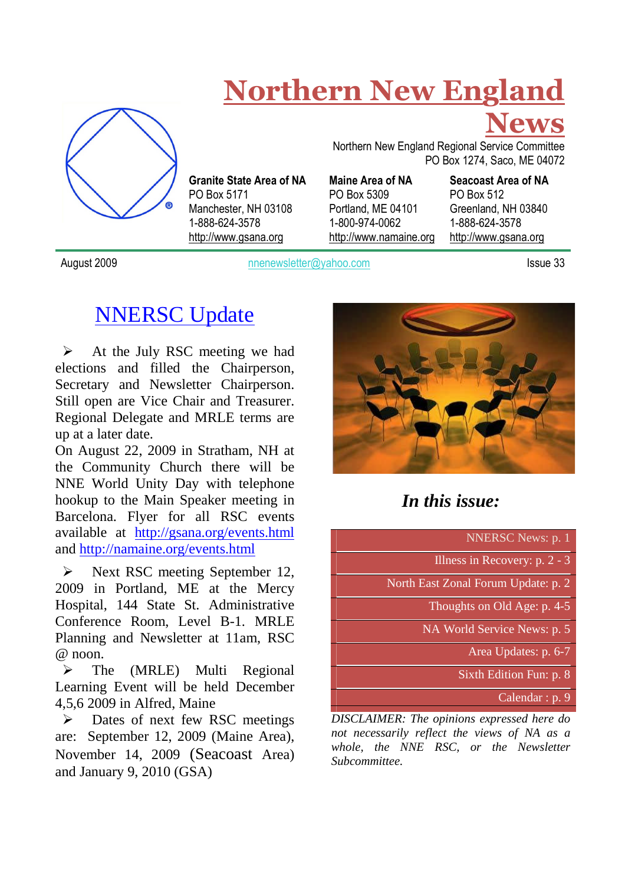

# **Northern New England**

Northern New England Regional Service Committee PO Box 1274, Saco, ME 04072 **Maine Area of NA**

**Granite State Area of NA** PO Box 5309 Portland, ME 04101 1-800-974-0062 http://www.namaine.org **Seacoast Area of NA** PO Box 512 Greenland, NH 03840 1-888-624-3578 http://www.gsana.org

**News**

August 2009 **notified a member of the Caucase Community** 1980 and 1980 and 1980 and 1980 and 1980 and 1980 and 19

NNERSC Update

PO Box 5171

1-888-624-3578 http://www.gsana.org

Manchester, NH 03108

 $\triangleright$  At the July RSC meeting we had elections and filled the Chairperson, Secretary and Newsletter Chairperson. Still open are Vice Chair and Treasurer. Regional Delegate and MRLE terms are up at a later date.

On August 22, 2009 in Stratham, NH at the Community Church there will be NNE World Unity Day with telephone hookup to the Main Speaker meeting in Barcelona. Flyer for all RSC events available at http://gsana.org/events.html and http://namaine.org/events.html

 $\triangleright$  Next RSC meeting September 12, 2009 in Portland, ME at the Mercy Hospital, 144 State St. Administrative Conference Room, Level B-1. MRLE Planning and Newsletter at 11am, RSC  $@$  noon.

 $\triangleright$  The (MRLE) Multi Regional Learning Event will be held December 4,5,6 2009 in Alfred, Maine

 $\triangleright$  Dates of next few RSC meetings are: September 12, 2009 (Maine Area), November 14, 2009 (Seacoast Area) and January 9, 2010 (GSA)



# *In this issue:*

NNERSC News: p. 1 Illness in Recovery: p. 2 - 3 North East Zonal Forum Update: p. 2 Thoughts on Old Age: p. 4-5 NA World Service News: p. 5 Area Updates: p. 6-7

Sixth Edition Fun: p. 8

Calendar : p. 9

*DISCLAIMER: The opinions expressed here do not necessarily reflect the views of NA as a whole, the NNE RSC, or the Newsletter Subcommittee.*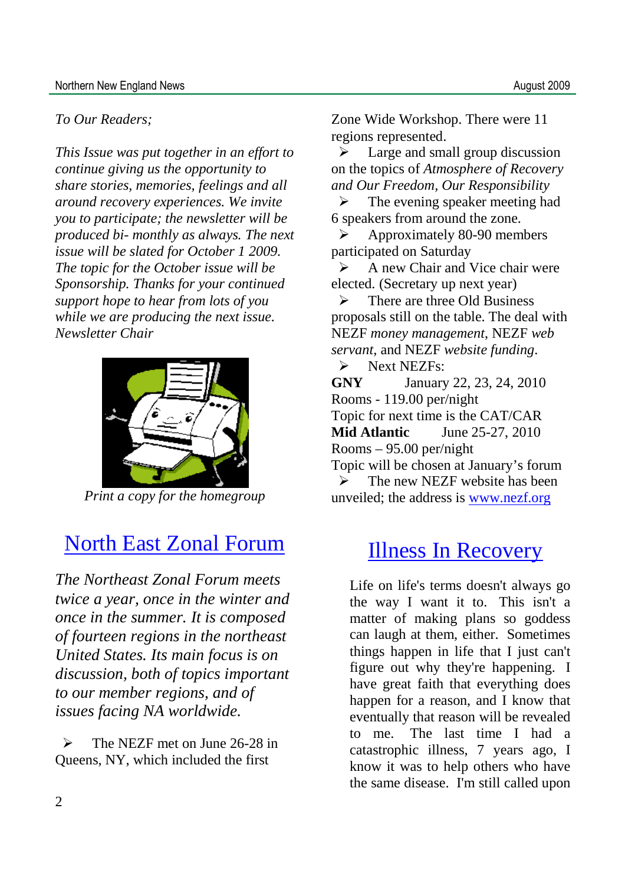### *To Our Readers;*

*This Issue was put together in an effort to continue giving us the opportunity to share stories, memories, feelings and all around recovery experiences. We invite you to participate; the newsletter will be produced bi- monthly as always. The next issue will be slated for October 1 2009. The topic for the October issue will be Sponsorship. Thanks for your continued support hope to hear from lots of you while we are producing the next issue. Newsletter Chair*



*Print a copy for the homegroup*

# North East Zonal Forum

*The Northeast Zonal Forum meets twice a year, once in the winter and once in the summer. It is composed of fourteen regions in the northeast United States. Its main focus is on discussion, both of topics important to our member regions, and of issues facing NA worldwide.*

 $\triangleright$  The NEZF met on June 26-28 in Queens, NY, which included the first

Zone Wide Workshop. There were 11 regions represented.

 $\triangleright$  Large and small group discussion on the topics of *Atmosphere of Recovery and Our Freedom, Our Responsibility*

 $\triangleright$  The evening speaker meeting had 6 speakers from around the zone.

 $\triangleright$  Approximately 80-90 members participated on Saturday

 $\triangleright$  A new Chair and Vice chair were elected. (Secretary up next year)

 $\triangleright$  There are three Old Business proposals still on the table. The deal with NEZF *money management*, NEZF *web servant*, and NEZF *website funding*.

Subset NEZFs:

**GNY** January 22, 23, 24, 2010 Rooms - 119.00 per/night

Topic for next time is the CAT/CAR

**Mid Atlantic** June 25-27, 2010

Rooms – 95.00 per/night

Topic will be chosen at January's forum  $\triangleright$  The new NEZF website has been

unveiled; the address is www.nezf.org

# Illness In Recovery

Life on life's terms doesn't always go the way I want it to. This isn't a matter of making plans so goddess can laugh at them, either. Sometimes things happen in life that I just can't figure out why they're happening. I have great faith that everything does happen for a reason, and I know that eventually that reason will be revealed to me. The last time I had a catastrophic illness, 7 years ago, I know it was to help others who have the same disease. I'm still called upon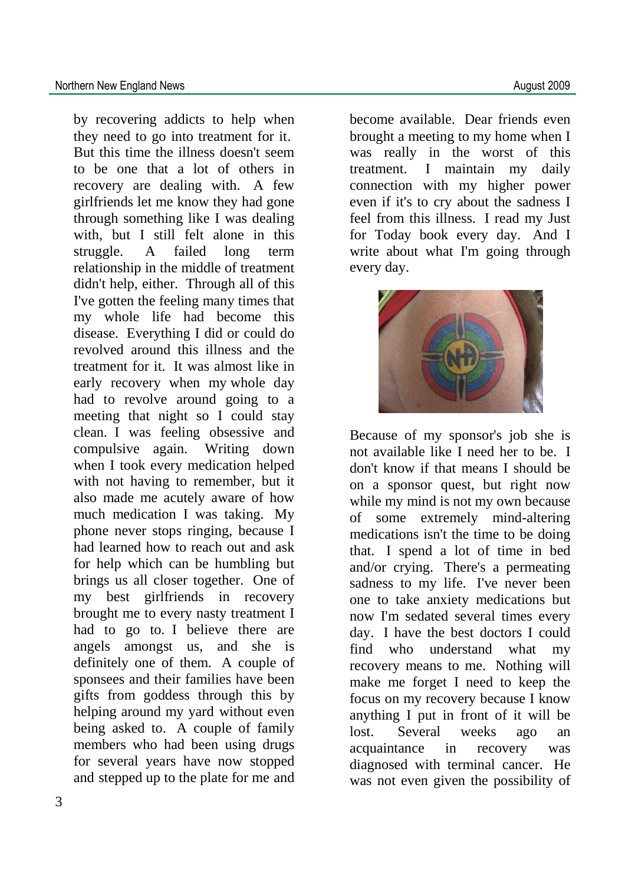by recovering addicts to help when they need to go into treatment for it. But this time the illness doesn't seem to be one that a lot of others in recovery are dealing with. A few girlfriends let me know they had gone through something like I was dealing with, but I still felt alone in this struggle. A failed long term relationship in the middle of treatment didn't help, either. Through all of this I've gotten the feeling many times that my whole life had become this disease. Everything I did or could do revolved around this illness and the treatment for it. It was almost like in early recovery when my whole day had to revolve around going to a meeting that night so I could stay clean. I was feeling obsessive and compulsive again. Writing down when I took every medication helped with not having to remember, but it also made me acutely aware of how much medication I was taking. My phone never stops ringing, because I had learned how to reach out and ask for help which can be humbling but brings us all closer together. One of my best girlfriends in recovery brought me to every nasty treatment I had to go to. I believe there are angels amongst us, and she is definitely one of them. A couple of sponsees and their families have been gifts from goddess through this by helping around my yard without even being asked to. A couple of family members who had been using drugs for several years have now stopped and stepped up to the plate for me and

become available. Dear friends even brought a meeting to my home when I was really in the worst of this treatment. I maintain my daily connection with my higher power even if it's to cry about the sadness I feel from this illness. I read my Just for Today book every day. And I write about what I'm going through every day.



Because of my sponsor's job she is not available like I need her to be. I don't know if that means I should be on a sponsor quest, but right now while my mind is not my own because of some extremely mind-altering medications isn't the time to be doing that. I spend a lot of time in bed and/or crying. There's a permeating sadness to my life. I've never been one to take anxiety medications but now I'm sedated several times every day. I have the best doctors I could find who understand what my recovery means to me. Nothing will make me forget I need to keep the focus on my recovery because I know anything I put in front of it will be lost. Several weeks ago an acquaintance in recovery was diagnosed with terminal cancer. He was not even given the possibility of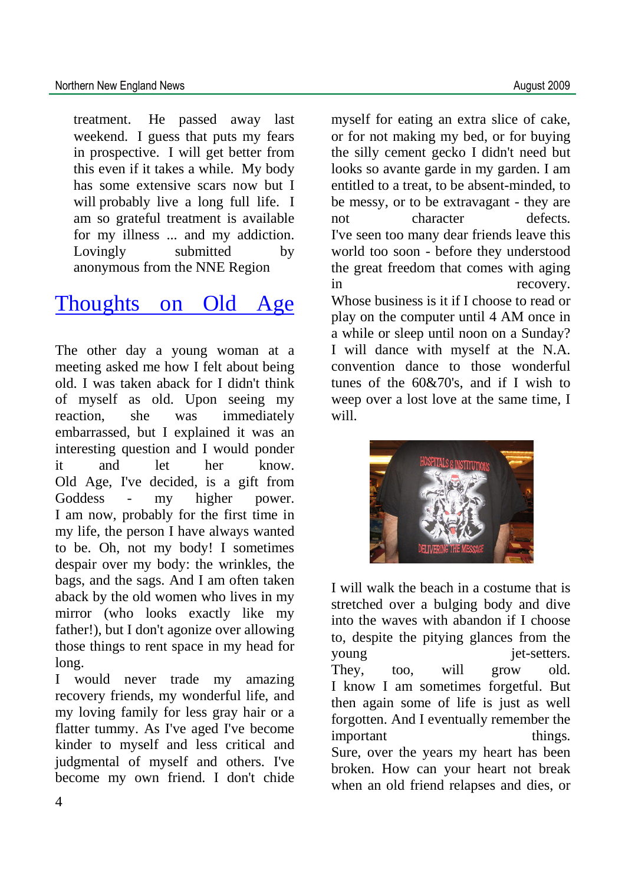treatment. He passed away last weekend. I guess that puts my fears in prospective. I will get better from this even if it takes a while. My body has some extensive scars now but I will probably live a long full life. I am so grateful treatment is available for my illness ... and my addiction. Lovingly submitted by anonymous from the NNE Region

# Thoughts on Old Age

The other day a young woman at a meeting asked me how I felt about being old. I was taken aback for I didn't think of myself as old. Upon seeing my reaction, she was immediately embarrassed, but I explained it was an interesting question and I would ponder it and let her know. Old Age, I've decided, is a gift from Goddess - my higher power. I am now, probably for the first time in my life, the person I have always wanted to be. Oh, not my body! I sometimes despair over my body: the wrinkles, the bags, and the sags. And I am often taken aback by the old women who lives in my mirror (who looks exactly like my father!), but I don't agonize over allowing those things to rent space in my head for long.

I would never trade my amazing recovery friends, my wonderful life, and my loving family for less gray hair or a flatter tummy. As I've aged I've become kinder to myself and less critical and judgmental of myself and others. I've become my own friend. I don't chide

myself for eating an extra slice of cake, or for not making my bed, or for buying the silly cement gecko I didn't need but looks so avante garde in my garden. I am entitled to a treat, to be absent-minded, to be messy, or to be extravagant - they are not character defects. I've seen too many dear friends leave this world too soon - before they understood the great freedom that comes with aging in recovery. Whose business is it if I choose to read or play on the computer until 4 AM once in a while or sleep until noon on a Sunday? I will dance with myself at the N.A. convention dance to those wonderful tunes of the 60&70's, and if I wish to weep over a lost love at the same time, I will.



I will walk the beach in a costume that is stretched over a bulging body and dive into the waves with abandon if I choose to, despite the pitying glances from the young iet-setters. They, too, will grow old. I know I am sometimes forgetful. But then again some of life is just as well forgotten. And I eventually remember the important things. Sure, over the years my heart has been broken. How can your heart not break when an old friend relapses and dies, or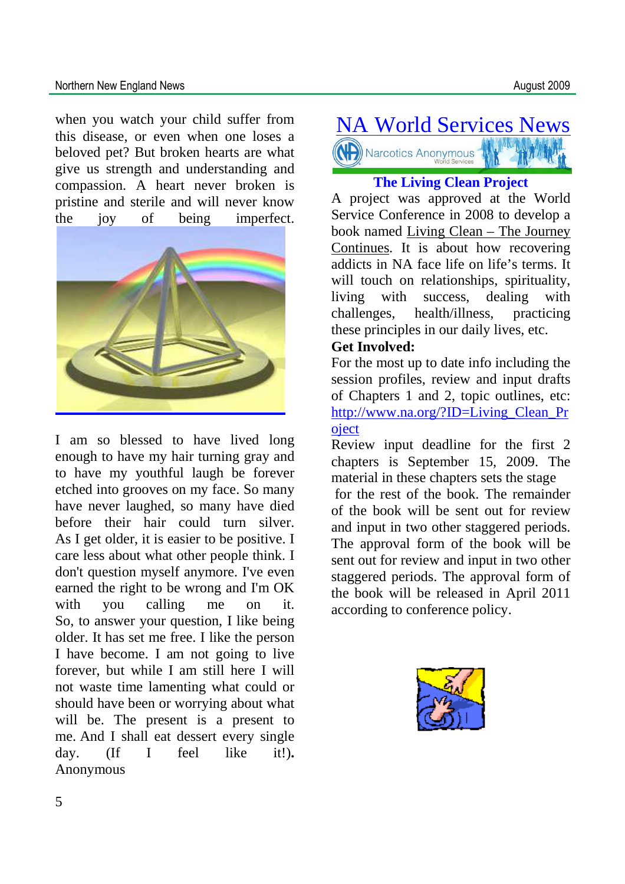### Northern New England News **August 2009**

when you watch your child suffer from this disease, or even when one loses a beloved pet? But broken hearts are what give us strength and understanding and compassion. A heart never broken is pristine and sterile and will never know the joy of being imperfect.



I am so blessed to have lived long enough to have my hair turning gray and to have my youthful laugh be forever etched into grooves on my face. So many have never laughed, so many have died before their hair could turn silver. As I get older, it is easier to be positive. I care less about what other people think. I don't question myself anymore. I've even earned the right to be wrong and I'm OK with you calling me on it. So, to answer your question, I like being older. It has set me free. I like the person I have become. I am not going to live forever, but while I am still here I will not waste time lamenting what could or should have been or worrying about what will be. The present is a present to me. And I shall eat dessert every single day. (If I feel like it!)**.** Anonymous

# NA World Services News Narcotics Anonymous

### **The Living Clean Project**

A project was approved at the World Service Conference in 2008 to develop a book named Living Clean – The Journey Continues. It is about how recovering addicts in NA face life on life's terms. It will touch on relationships, spirituality, living with success, dealing with challenges, health/illness, practicing these principles in our daily lives, etc.

### **Get Involved:**

For the most up to date info including the session profiles, review and input drafts of Chapters 1 and 2, topic outlines, etc: http://www.na.org/?ID=Living\_Clean\_Pr oject

Review input deadline for the first 2 chapters is September 15, 2009. The material in these chapters sets the stage

for the rest of the book. The remainder of the book will be sent out for review and input in two other staggered periods. The approval form of the book will be sent out for review and input in two other staggered periods. The approval form of the book will be released in April 2011 according to conference policy.

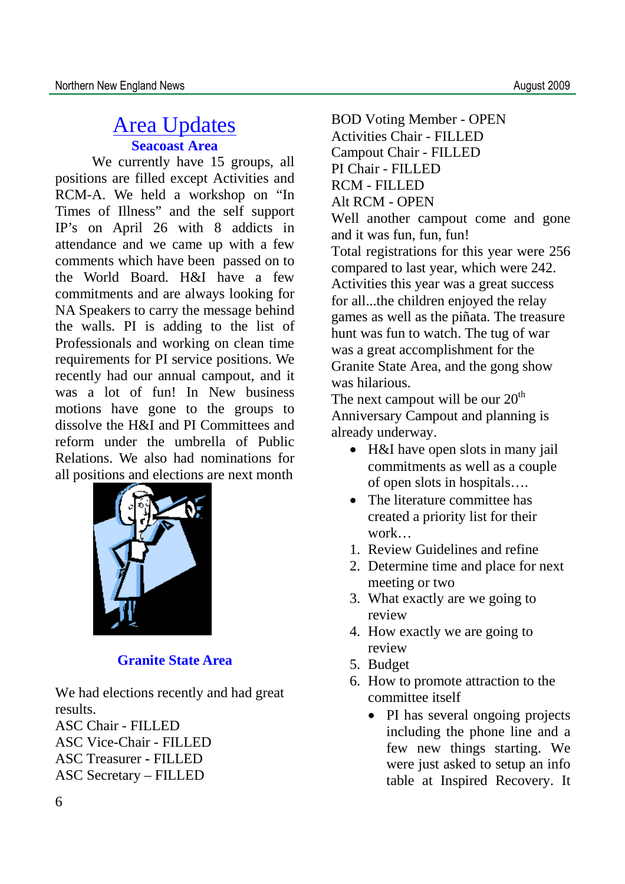## Area Updates **Seacoast Area**

We currently have 15 groups, all positions are filled except Activities and RCM-A. We held a workshop on "In Times of Illness" and the self support IP's on April 26 with 8 addicts in attendance and we came up with a few comments which have been passed on to the World Board. H&I have a few commitments and are always looking for NA Speakers to carry the message behind the walls. PI is adding to the list of Professionals and working on clean time requirements for PI service positions. We recently had our annual campout, and it was a lot of fun! In New business motions have gone to the groups to dissolve the H&I and PI Committees and reform under the umbrella of Public Relations. We also had nominations for all positions and elections are next month



### **Granite State Area**

We had elections recently and had great results.

ASC Chair - FILLED ASC Vice-Chair - FILLED ASC Treasurer **-** FILLED ASC Secretary – FILLED

BOD Voting Member - OPEN Activities Chair - FILLED Campout Chair - FILLED PI Chair - FILLED RCM - FILLED Alt RCM - OPEN Well another campout come and gone and it was fun, fun, fun! Total registrations for this year were 256 compared to last year, which were 242. Activities this year was a great success for all...the children enjoyed the relay games as well as the piñata. The treasure hunt was fun to watch. The tug of war was a great accomplishment for the Granite State Area, and the gong show was hilarious.

The next campout will be our  $20<sup>th</sup>$ Anniversary Campout and planning is already underway.

- H&I have open slots in many jail commitments as well as a couple of open slots in hospitals….
- The literature committee has created a priority list for their work…
- 1. Review Guidelines and refine
- 2. Determine time and place for next meeting or two
- 3. What exactly are we going to review
- 4. How exactly we are going to review
- 5. Budget
- 6. How to promote attraction to the committee itself
	- PI has several ongoing projects including the phone line and a few new things starting. We were just asked to setup an info table at Inspired Recovery. It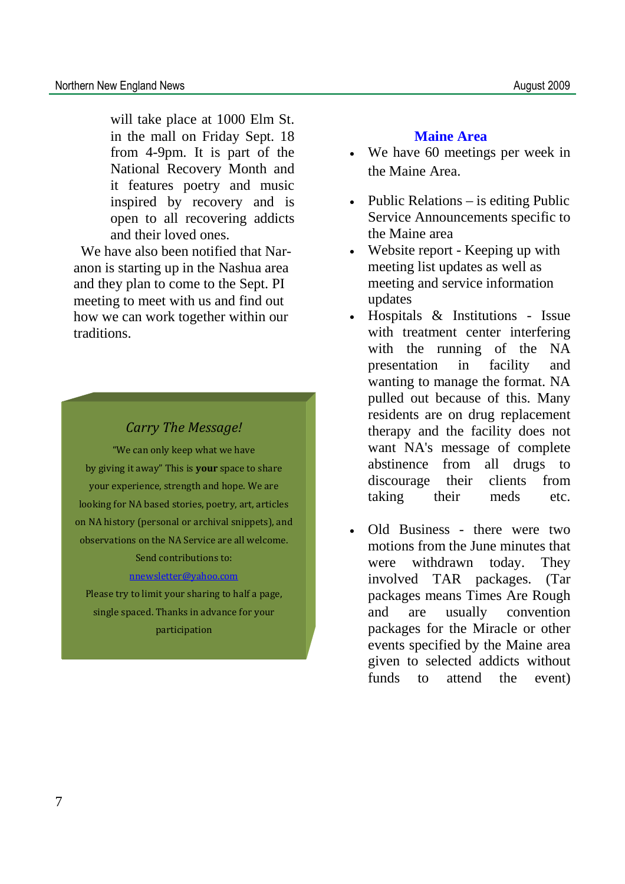will take place at 1000 Elm St. in the mall on Friday Sept. 18 from 4-9pm. It is part of the National Recovery Month and it features poetry and music inspired by recovery and is open to all recovering addicts and their loved ones.

We have also been notified that Naranon is starting up in the Nashua area and they plan to come to the Sept. PI meeting to meet with us and find out how we can work together within our traditions.

### *Carry The Message!*

"We can only keep what we have by giving it away" This is **your** space to share your experience, strength and hope. We are looking for NA based stories, poetry, art, articles on NA history (personal or archival snippets), and observations on the NA Service are all welcome. Send contributions to:

### nnewsletter@yahoo.com

Please try to limit your sharing to half a page, single spaced. Thanks in advance for your participation

### **Maine Area**

- We have 60 meetings per week in the Maine Area.
- Public Relations  $-$  is editing Public Service Announcements specific to the Maine area
- Website report Keeping up with meeting list updates as well as meeting and service information updates
- Hospitals & Institutions Issue with treatment center interfering with the running of the NA presentation in facility and wanting to manage the format. NA pulled out because of this. Many residents are on drug replacement therapy and the facility does not want NA's message of complete abstinence from all drugs to discourage their clients from taking their meds etc.
- Old Business there were two motions from the June minutes that were withdrawn today. They involved TAR packages. (Tar packages means Times Are Rough and are usually convention packages for the Miracle or other events specified by the Maine area given to selected addicts without funds to attend the event)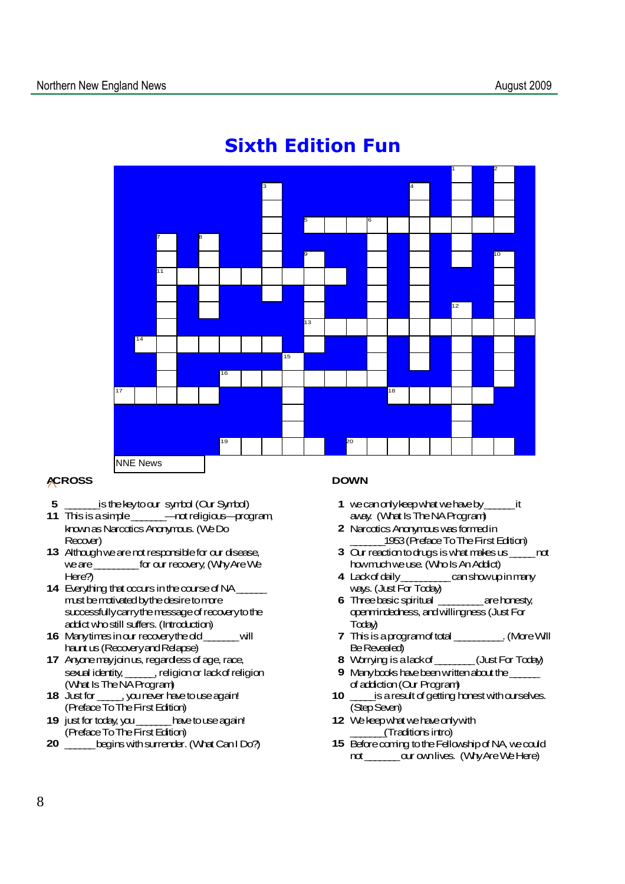

# **Sixth Edition Fun**

#### **ACROSS**

- **5** \_\_\_\_\_\_\_isthekeytoour symbol (Our Symbol)
- **11** Thisisasimple\_\_\_\_\_\_\_—notreligious—program, knownasNarcoticsAnonymous.(WeDo Recover)
- **13** Althoughwearenotresponsiblefor our disease, weare\_\_\_\_\_\_\_\_\_for our recovery;(WhyAreWe Here?)
- **14** Everything that occurs in the course of NA\_ must be mativated by the desire to more successfully carry the message of recovery to the addictwhostill suffers.(Introduction)
- **16** Manytimesinour recoverytheold\_\_\_\_\_\_\_will hauntus(RecoveryandRelapse)
- **17** Anyone may join us, regardless of age, race, sexual identity, \_\_\_\_\_, religion or lackof religion (What Is The NA Program)<br>18 Just for \_\_\_\_\_\_, you never has
- **18** Justfor \_\_\_\_\_,younever havetouseagain! (PrefaceToTheFirstEdition)
- **19** justfor today,you\_\_\_\_\_\_\_havetouseagain! (Preface To The First Edition)
- **20** \_\_\_\_\_\_ begins with surrender. (What Can IDo?)

#### **DOWN**

- **1** wecanonlykeepwhatwehaveby\_\_\_\_\_\_it away. (What Is The NA Program)
- **2** NarcoticsAnonymouswasformedin \_\_\_\_\_\_\_1953(PrefaceToTheFirstEdition)
- **3** Our reactiontodrugsiswhatmakesus\_\_\_\_\_not howmuchweuse.(WhoIsAnAddict)
- **4** Lackofdaily\_\_\_\_\_\_\_\_\_\_canshowupinmany ways. (Just For Today)
- **6** Threebasicspiritual \_\_\_\_\_\_\_\_\_arehonesty, openmindedness,andwillingness(JustFor Today)
- **7** Thisisaprogramoftotal \_\_\_\_\_\_\_\_\_\_.(MoreWill Be Revealed)
- **8** Worrying isalackof\_\_\_\_\_\_\_\_(JustFor Today)
- **9** Manybooks have been written about the ofaddiction(Our Program)
- **10** is a result of getting honest with ourselves. (StepSeven)
- **12** We keep what we have only with \_\_\_\_\_\_\_(Traditionsintro)
- **15** Beforecoming totheFellowshipofNA,wecould not cur ownlives. (WhyAreWeHere)